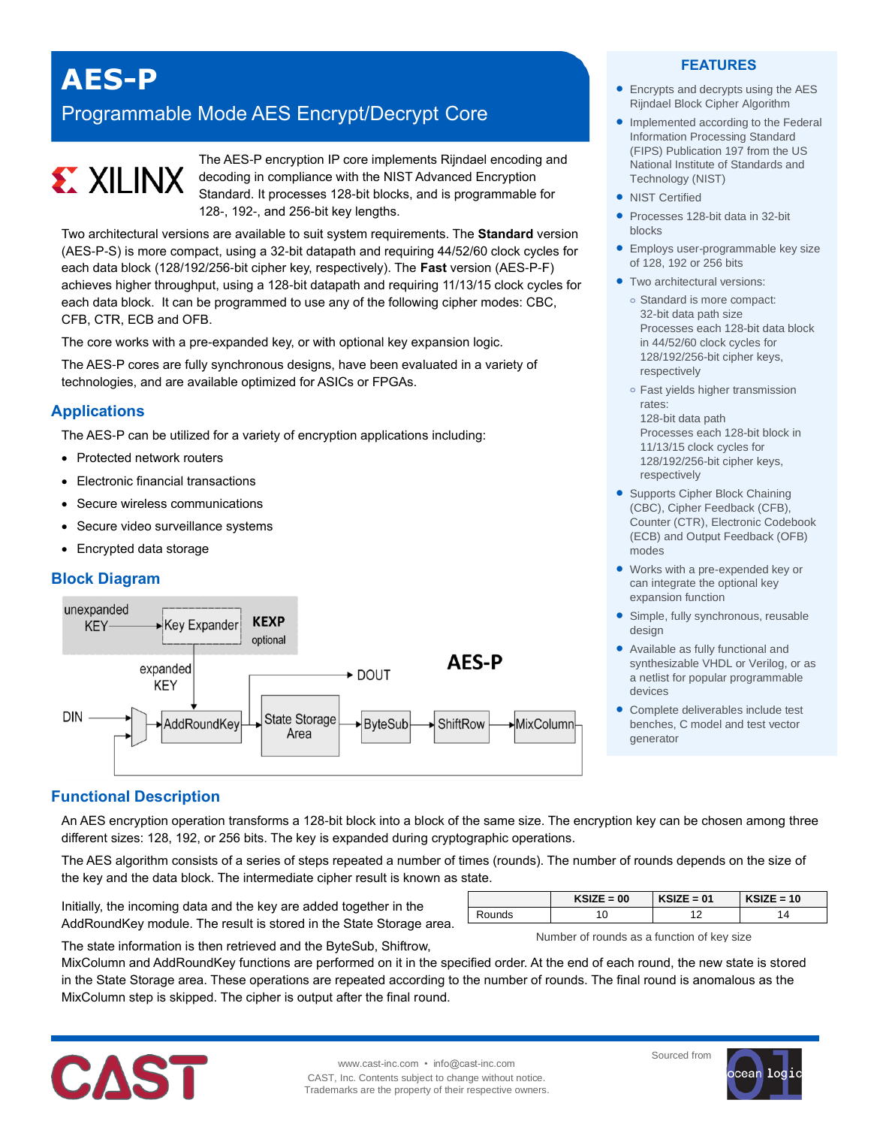# **AES-P**

# Programmable Mode AES Encrypt/Decrypt Core

# **EXILINX**

The AES-P encryption IP core implements Rijndael encoding and decoding in compliance with the NIST Advanced Encryption Standard. It processes 128-bit blocks, and is programmable for 128-, 192-, and 256-bit key lengths.

Two architectural versions are available to suit system requirements. The **Standard** version (AES-P-S) is more compact, using a 32-bit datapath and requiring 44/52/60 clock cycles for each data block (128/192/256-bit cipher key, respectively). The **Fast** version (AES-P-F) achieves higher throughput, using a 128-bit datapath and requiring 11/13/15 clock cycles for each data block. It can be programmed to use any of the following cipher modes: CBC, CFB, CTR, ECB and OFB.

The core works with a pre-expanded key, or with optional key expansion logic.

The AES-P cores are fully synchronous designs, have been evaluated in a variety of technologies, and are available optimized for ASICs or FPGAs.

# **Applications**

The AES-P can be utilized for a variety of encryption applications including:

- Protected network routers
- Electronic financial transactions
- Secure wireless communications
- Secure video surveillance systems
- Encrypted data storage

# **Block Diagram**



#### **FEATURES**

- Encrypts and decrypts using the AES Rijndael Block Cipher Algorithm
- Implemented according to the Federal Information Processing Standard (FIPS) Publication 197 from the US National Institute of Standards and Technology (NIST)
- NIST Certified
- **Processes 128-bit data in 32-bit** blocks
- Employs user-programmable key size of 128, 192 or 256 bits
- **Two architectural versions:** 
	- **o** Standard is more compact: 32-bit data path size Processes each 128-bit data block in 44/52/60 clock cycles for 128/192/256-bit cipher keys, respectively
	- **o** Fast yields higher transmission rates:
		- 128-bit data path Processes each 128-bit block in 11/13/15 clock cycles for 128/192/256-bit cipher keys, respectively
- Supports Cipher Block Chaining (CBC), Cipher Feedback (CFB), Counter (CTR), Electronic Codebook (ECB) and Output Feedback (OFB) modes
- Works with a pre-expended key or can integrate the optional key expansion function
- Simple, fully synchronous, reusable design
- Available as fully functional and synthesizable VHDL or Verilog, or as a netlist for popular programmable devices
- Complete deliverables include test benches, C model and test vector generator

# **Functional Description**

An AES encryption operation transforms a 128-bit block into a block of the same size. The encryption key can be chosen among three different sizes: 128, 192, or 256 bits. The key is expanded during cryptographic operations.

The AES algorithm consists of a series of steps repeated a number of times (rounds). The number of rounds depends on the size of the key and the data block. The intermediate cipher result is known as state.

Initially, the incoming data and the key are added together in the AddRoundKey module. The result is stored in the State Storage area.

| The state information is then retrieved and the ByteSub, Shiftrow, |  |  |  |
|--------------------------------------------------------------------|--|--|--|
|                                                                    |  |  |  |

MixColumn and AddRoundKey functions are performed on it in the specified order. At the end of each round, the new state is stored in the State Storage area. These operations are repeated according to the number of rounds. The final round is anomalous as the MixColumn step is skipped. The cipher is output after the final round.



**KSIZE = 00 KSIZE = 01 KSIZE = 10**

Rounds | 10 | 12 | 14 Number of rounds as a function of key size

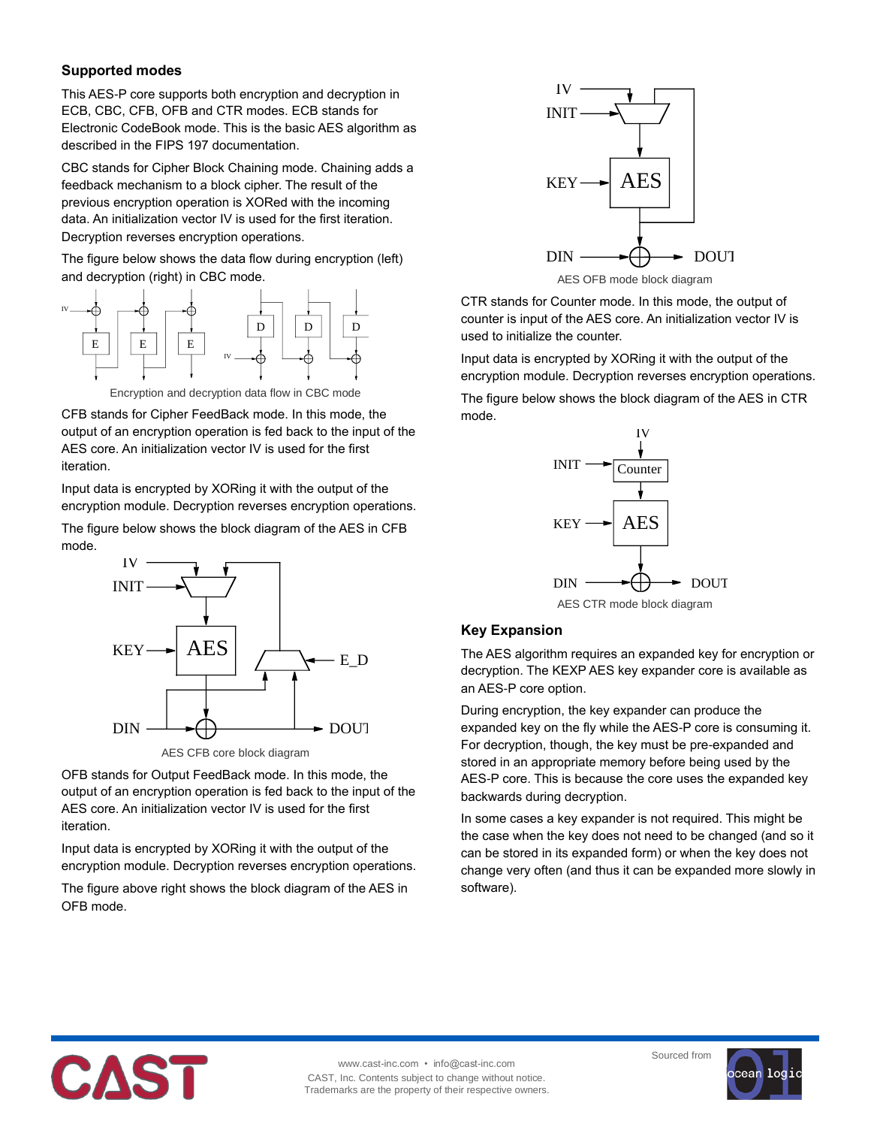#### **Supported modes**

This AES-P core supports both encryption and decryption in ECB, CBC, CFB, OFB and CTR modes. ECB stands for Electronic CodeBook mode. This is the basic AES algorithm as described in the FIPS 197 documentation.

CBC stands for Cipher Block Chaining mode. Chaining adds a feedback mechanism to a block cipher. The result of the previous encryption operation is XORed with the incoming data. An initialization vector IV is used for the first iteration. Decryption reverses encryption operations.

The figure below shows the data flow during encryption (left) and decryption (right) in CBC mode.





CFB stands for Cipher FeedBack mode. In this mode, the output of an encryption operation is fed back to the input of the AES core. An initialization vector IV is used for the first iteration.

Input data is encrypted by XORing it with the output of the encryption module. Decryption reverses encryption operations.

The figure below shows the block diagram of the AES in CFB mode.



OFB stands for Output FeedBack mode. In this mode, the output of an encryption operation is fed back to the input of the AES core. An initialization vector IV is used for the first iteration.

Input data is encrypted by XORing it with the output of the encryption module. Decryption reverses encryption operations.

The figure above right shows the block diagram of the AES in OFB mode.



AES OFB mode block diagram

CTR stands for Counter mode. In this mode, the output of counter is input of the AES core. An initialization vector IV is used to initialize the counter.

Input data is encrypted by XORing it with the output of the encryption module. Decryption reverses encryption operations.

The figure below shows the block diagram of the AES in CTR mode.



AES CTR mode block diagram

# **Key Expansion**

The AES algorithm requires an expanded key for encryption or decryption. The KEXP AES key expander core is available as an AES-P core option.

During encryption, the key expander can produce the expanded key on the fly while the AES-P core is consuming it. For decryption, though, the key must be pre-expanded and stored in an appropriate memory before being used by the AES-P core. This is because the core uses the expanded key backwards during decryption.

In some cases a key expander is not required. This might be the case when the key does not need to be changed (and so it can be stored in its expanded form) or when the key does not change very often (and thus it can be expanded more slowly in software).



www.cast-inc.com • info@cast-inc.com CAST, Inc. Contents subject to change without notice. Trademarks are the property of their respective owners.